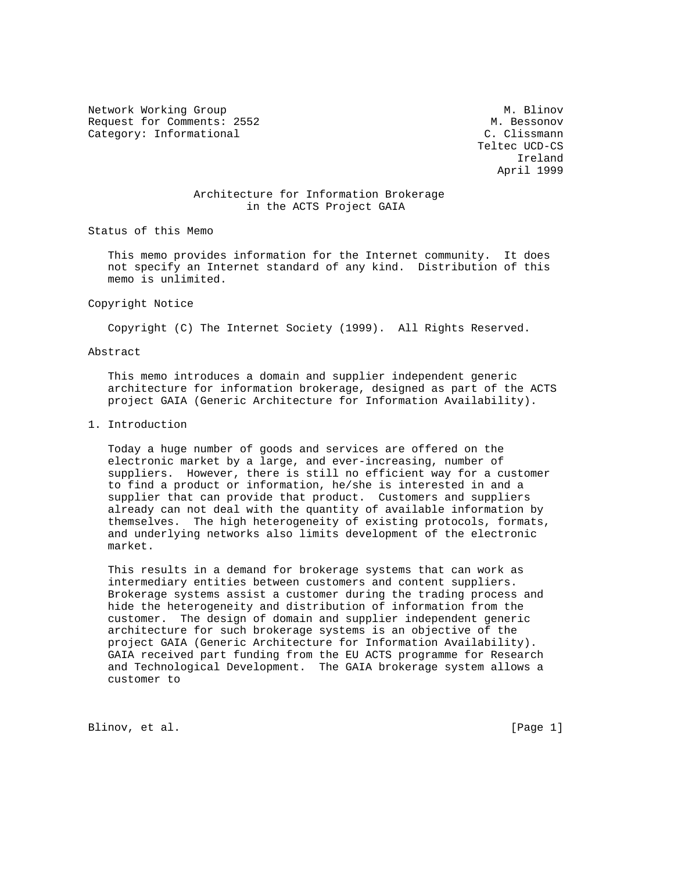Network Working Group Methods and M. Blinov Request for Comments: 2552 M. Bessonov Category: Informational C. Clissmann

 Teltec UCD-CS Ireland April 1999

## Architecture for Information Brokerage in the ACTS Project GAIA

Status of this Memo

 This memo provides information for the Internet community. It does not specify an Internet standard of any kind. Distribution of this memo is unlimited.

#### Copyright Notice

Copyright (C) The Internet Society (1999). All Rights Reserved.

#### Abstract

 This memo introduces a domain and supplier independent generic architecture for information brokerage, designed as part of the ACTS project GAIA (Generic Architecture for Information Availability).

## 1. Introduction

 Today a huge number of goods and services are offered on the electronic market by a large, and ever-increasing, number of suppliers. However, there is still no efficient way for a customer to find a product or information, he/she is interested in and a supplier that can provide that product. Customers and suppliers already can not deal with the quantity of available information by themselves. The high heterogeneity of existing protocols, formats, and underlying networks also limits development of the electronic market.

 This results in a demand for brokerage systems that can work as intermediary entities between customers and content suppliers. Brokerage systems assist a customer during the trading process and hide the heterogeneity and distribution of information from the customer. The design of domain and supplier independent generic architecture for such brokerage systems is an objective of the project GAIA (Generic Architecture for Information Availability). GAIA received part funding from the EU ACTS programme for Research and Technological Development. The GAIA brokerage system allows a customer to

Blinov, et al. [Page 1]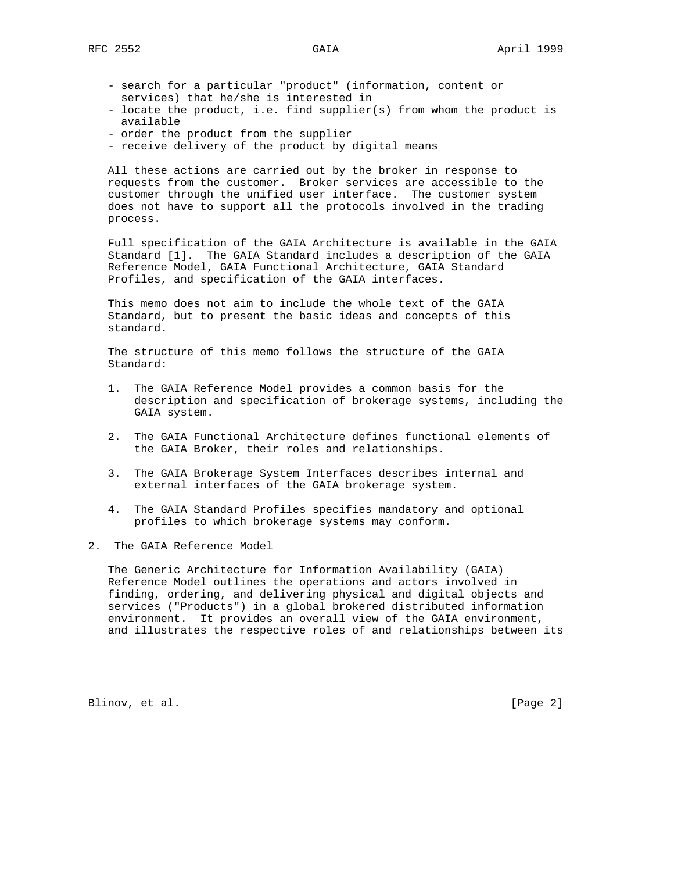- search for a particular "product" (information, content or services) that he/she is interested in
- locate the product, i.e. find supplier(s) from whom the product is available
- order the product from the supplier
- receive delivery of the product by digital means

 All these actions are carried out by the broker in response to requests from the customer. Broker services are accessible to the customer through the unified user interface. The customer system does not have to support all the protocols involved in the trading process.

 Full specification of the GAIA Architecture is available in the GAIA Standard [1]. The GAIA Standard includes a description of the GAIA Reference Model, GAIA Functional Architecture, GAIA Standard Profiles, and specification of the GAIA interfaces.

 This memo does not aim to include the whole text of the GAIA Standard, but to present the basic ideas and concepts of this standard.

 The structure of this memo follows the structure of the GAIA Standard:

- 1. The GAIA Reference Model provides a common basis for the description and specification of brokerage systems, including the GAIA system.
- 2. The GAIA Functional Architecture defines functional elements of the GAIA Broker, their roles and relationships.
- 3. The GAIA Brokerage System Interfaces describes internal and external interfaces of the GAIA brokerage system.
- 4. The GAIA Standard Profiles specifies mandatory and optional profiles to which brokerage systems may conform.
- 2. The GAIA Reference Model

 The Generic Architecture for Information Availability (GAIA) Reference Model outlines the operations and actors involved in finding, ordering, and delivering physical and digital objects and services ("Products") in a global brokered distributed information environment. It provides an overall view of the GAIA environment, and illustrates the respective roles of and relationships between its

Blinov, et al. [Page 2]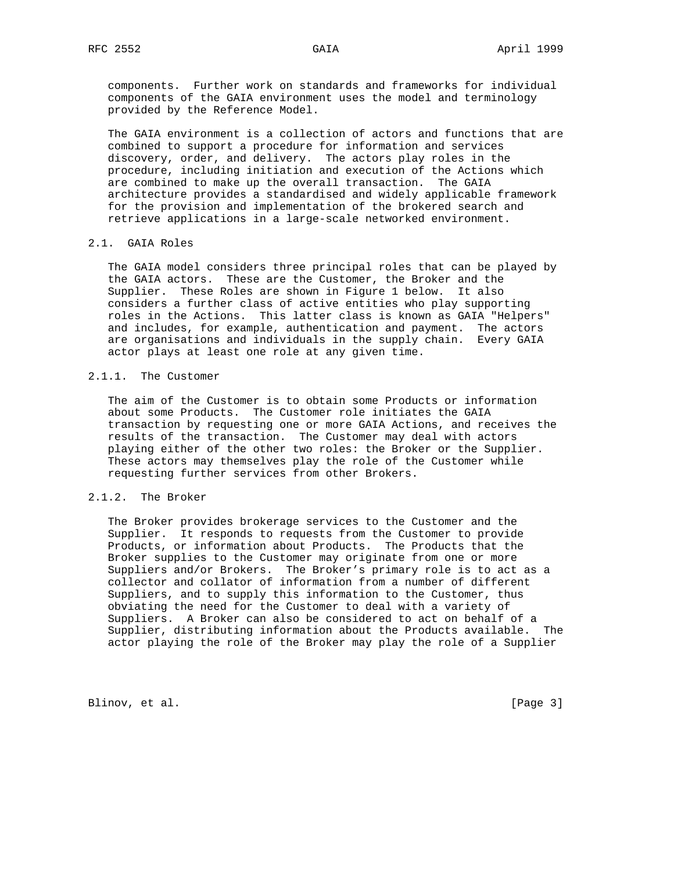components. Further work on standards and frameworks for individual components of the GAIA environment uses the model and terminology provided by the Reference Model.

 The GAIA environment is a collection of actors and functions that are combined to support a procedure for information and services discovery, order, and delivery. The actors play roles in the procedure, including initiation and execution of the Actions which are combined to make up the overall transaction. The GAIA architecture provides a standardised and widely applicable framework for the provision and implementation of the brokered search and retrieve applications in a large-scale networked environment.

#### 2.1. GAIA Roles

 The GAIA model considers three principal roles that can be played by the GAIA actors. These are the Customer, the Broker and the Supplier. These Roles are shown in Figure 1 below. It also considers a further class of active entities who play supporting roles in the Actions. This latter class is known as GAIA "Helpers" and includes, for example, authentication and payment. The actors are organisations and individuals in the supply chain. Every GAIA actor plays at least one role at any given time.

## 2.1.1. The Customer

 The aim of the Customer is to obtain some Products or information about some Products. The Customer role initiates the GAIA transaction by requesting one or more GAIA Actions, and receives the results of the transaction. The Customer may deal with actors playing either of the other two roles: the Broker or the Supplier. These actors may themselves play the role of the Customer while requesting further services from other Brokers.

## 2.1.2. The Broker

 The Broker provides brokerage services to the Customer and the Supplier. It responds to requests from the Customer to provide Products, or information about Products. The Products that the Broker supplies to the Customer may originate from one or more Suppliers and/or Brokers. The Broker's primary role is to act as a collector and collator of information from a number of different Suppliers, and to supply this information to the Customer, thus obviating the need for the Customer to deal with a variety of Suppliers. A Broker can also be considered to act on behalf of a Supplier, distributing information about the Products available. The actor playing the role of the Broker may play the role of a Supplier

Blinov, et al. [Page 3]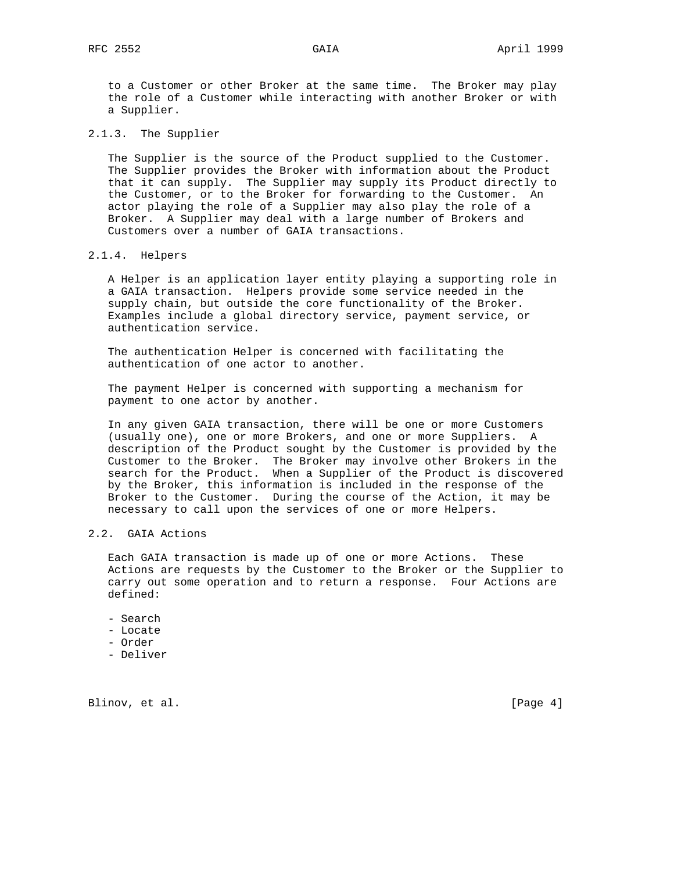to a Customer or other Broker at the same time. The Broker may play the role of a Customer while interacting with another Broker or with a Supplier.

2.1.3. The Supplier

 The Supplier is the source of the Product supplied to the Customer. The Supplier provides the Broker with information about the Product that it can supply. The Supplier may supply its Product directly to the Customer, or to the Broker for forwarding to the Customer. An actor playing the role of a Supplier may also play the role of a Broker. A Supplier may deal with a large number of Brokers and Customers over a number of GAIA transactions.

## 2.1.4. Helpers

 A Helper is an application layer entity playing a supporting role in a GAIA transaction. Helpers provide some service needed in the supply chain, but outside the core functionality of the Broker. Examples include a global directory service, payment service, or authentication service.

 The authentication Helper is concerned with facilitating the authentication of one actor to another.

 The payment Helper is concerned with supporting a mechanism for payment to one actor by another.

 In any given GAIA transaction, there will be one or more Customers (usually one), one or more Brokers, and one or more Suppliers. A description of the Product sought by the Customer is provided by the Customer to the Broker. The Broker may involve other Brokers in the search for the Product. When a Supplier of the Product is discovered by the Broker, this information is included in the response of the Broker to the Customer. During the course of the Action, it may be necessary to call upon the services of one or more Helpers.

## 2.2. GAIA Actions

 Each GAIA transaction is made up of one or more Actions. These Actions are requests by the Customer to the Broker or the Supplier to carry out some operation and to return a response. Four Actions are defined:

- Search
- Locate
- Order
- Deliver

Blinov, et al. [Page 4]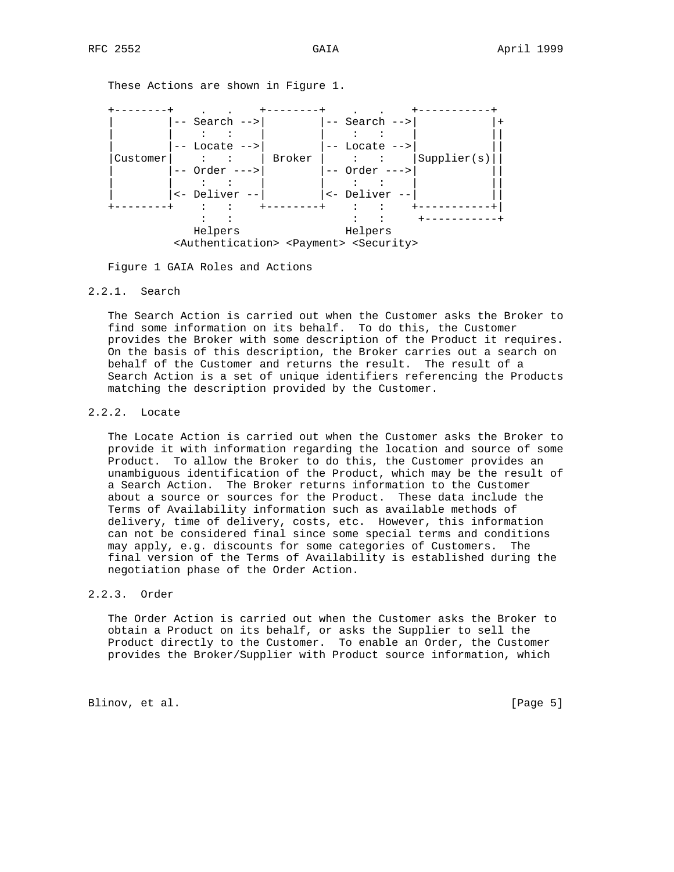These Actions are shown in Figure 1.



Figure 1 GAIA Roles and Actions

### 2.2.1. Search

 The Search Action is carried out when the Customer asks the Broker to find some information on its behalf. To do this, the Customer provides the Broker with some description of the Product it requires. On the basis of this description, the Broker carries out a search on behalf of the Customer and returns the result. The result of a Search Action is a set of unique identifiers referencing the Products matching the description provided by the Customer.

## 2.2.2. Locate

 The Locate Action is carried out when the Customer asks the Broker to provide it with information regarding the location and source of some Product. To allow the Broker to do this, the Customer provides an unambiguous identification of the Product, which may be the result of a Search Action. The Broker returns information to the Customer about a source or sources for the Product. These data include the Terms of Availability information such as available methods of delivery, time of delivery, costs, etc. However, this information can not be considered final since some special terms and conditions may apply, e.g. discounts for some categories of Customers. The final version of the Terms of Availability is established during the negotiation phase of the Order Action.

### 2.2.3. Order

 The Order Action is carried out when the Customer asks the Broker to obtain a Product on its behalf, or asks the Supplier to sell the Product directly to the Customer. To enable an Order, the Customer provides the Broker/Supplier with Product source information, which

Blinov, et al. [Page 5]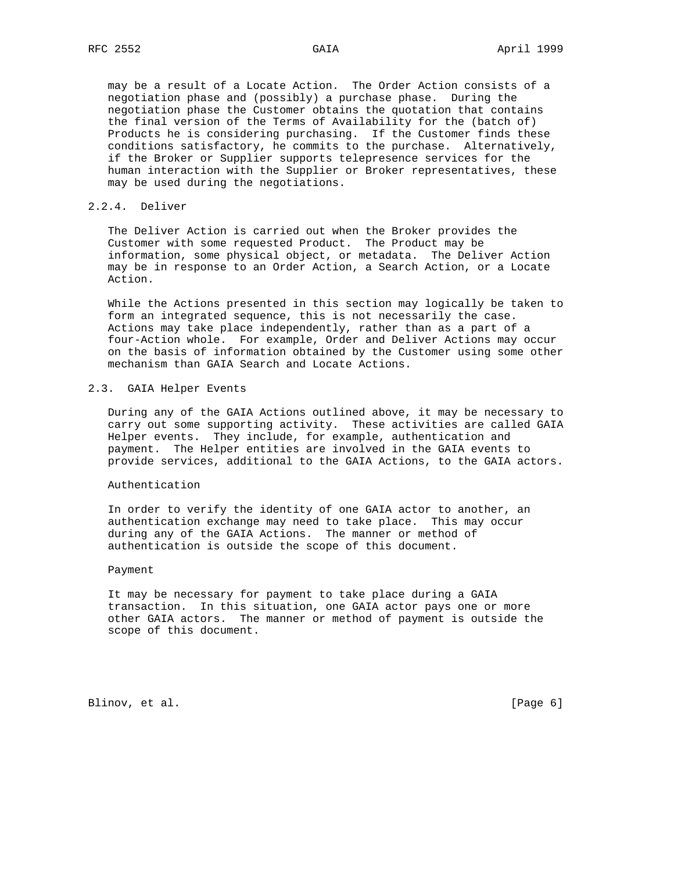may be a result of a Locate Action. The Order Action consists of a negotiation phase and (possibly) a purchase phase. During the negotiation phase the Customer obtains the quotation that contains the final version of the Terms of Availability for the (batch of) Products he is considering purchasing. If the Customer finds these conditions satisfactory, he commits to the purchase. Alternatively, if the Broker or Supplier supports telepresence services for the human interaction with the Supplier or Broker representatives, these may be used during the negotiations.

#### 2.2.4. Deliver

 The Deliver Action is carried out when the Broker provides the Customer with some requested Product. The Product may be information, some physical object, or metadata. The Deliver Action may be in response to an Order Action, a Search Action, or a Locate Action.

 While the Actions presented in this section may logically be taken to form an integrated sequence, this is not necessarily the case. Actions may take place independently, rather than as a part of a four-Action whole. For example, Order and Deliver Actions may occur on the basis of information obtained by the Customer using some other mechanism than GAIA Search and Locate Actions.

#### 2.3. GAIA Helper Events

 During any of the GAIA Actions outlined above, it may be necessary to carry out some supporting activity. These activities are called GAIA Helper events. They include, for example, authentication and payment. The Helper entities are involved in the GAIA events to provide services, additional to the GAIA Actions, to the GAIA actors.

#### Authentication

 In order to verify the identity of one GAIA actor to another, an authentication exchange may need to take place. This may occur during any of the GAIA Actions. The manner or method of authentication is outside the scope of this document.

#### Payment

 It may be necessary for payment to take place during a GAIA transaction. In this situation, one GAIA actor pays one or more other GAIA actors. The manner or method of payment is outside the scope of this document.

Blinov, et al. [Page 6]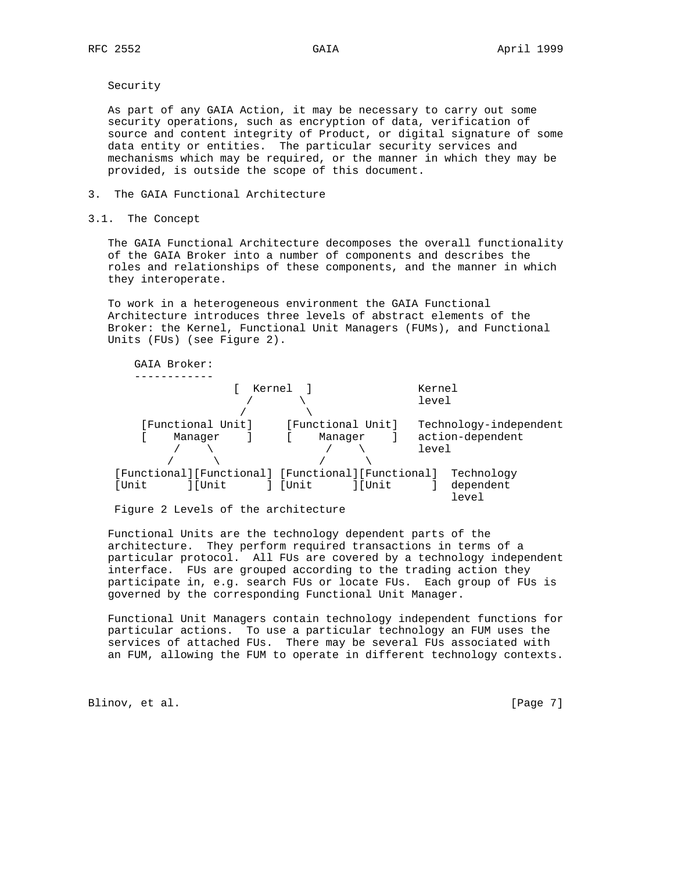Security

 As part of any GAIA Action, it may be necessary to carry out some security operations, such as encryption of data, verification of source and content integrity of Product, or digital signature of some data entity or entities. The particular security services and mechanisms which may be required, or the manner in which they may be provided, is outside the scope of this document.

### 3. The GAIA Functional Architecture

3.1. The Concept

 The GAIA Functional Architecture decomposes the overall functionality of the GAIA Broker into a number of components and describes the roles and relationships of these components, and the manner in which they interoperate.

 To work in a heterogeneous environment the GAIA Functional Architecture introduces three levels of abstract elements of the Broker: the Kernel, Functional Unit Managers (FUMs), and Functional Units (FUs) (see Figure 2).



Figure 2 Levels of the architecture

 Functional Units are the technology dependent parts of the architecture. They perform required transactions in terms of a particular protocol. All FUs are covered by a technology independent interface. FUs are grouped according to the trading action they participate in, e.g. search FUs or locate FUs. Each group of FUs is governed by the corresponding Functional Unit Manager.

 Functional Unit Managers contain technology independent functions for particular actions. To use a particular technology an FUM uses the services of attached FUs. There may be several FUs associated with an FUM, allowing the FUM to operate in different technology contexts.

Blinov, et al. [Page 7]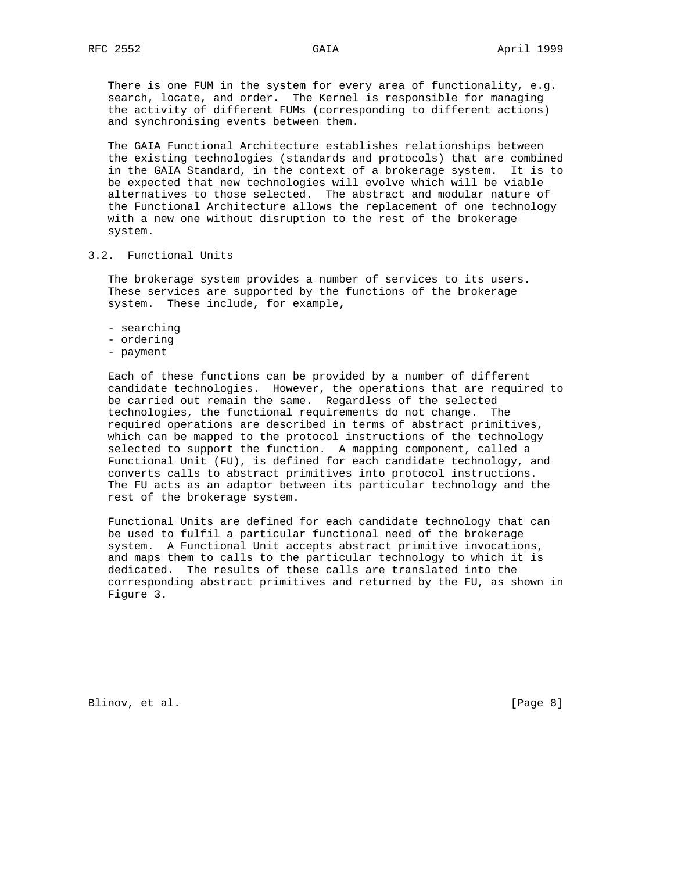There is one FUM in the system for every area of functionality, e.g. search, locate, and order. The Kernel is responsible for managing the activity of different FUMs (corresponding to different actions) and synchronising events between them.

 The GAIA Functional Architecture establishes relationships between the existing technologies (standards and protocols) that are combined in the GAIA Standard, in the context of a brokerage system. It is to be expected that new technologies will evolve which will be viable alternatives to those selected. The abstract and modular nature of the Functional Architecture allows the replacement of one technology with a new one without disruption to the rest of the brokerage system.

### 3.2. Functional Units

 The brokerage system provides a number of services to its users. These services are supported by the functions of the brokerage system. These include, for example,

- searching
- ordering
- payment

 Each of these functions can be provided by a number of different candidate technologies. However, the operations that are required to be carried out remain the same. Regardless of the selected technologies, the functional requirements do not change. The required operations are described in terms of abstract primitives, which can be mapped to the protocol instructions of the technology selected to support the function. A mapping component, called a Functional Unit (FU), is defined for each candidate technology, and converts calls to abstract primitives into protocol instructions. The FU acts as an adaptor between its particular technology and the rest of the brokerage system.

 Functional Units are defined for each candidate technology that can be used to fulfil a particular functional need of the brokerage system. A Functional Unit accepts abstract primitive invocations, and maps them to calls to the particular technology to which it is dedicated. The results of these calls are translated into the corresponding abstract primitives and returned by the FU, as shown in Figure 3.

Blinov, et al. [Page 8]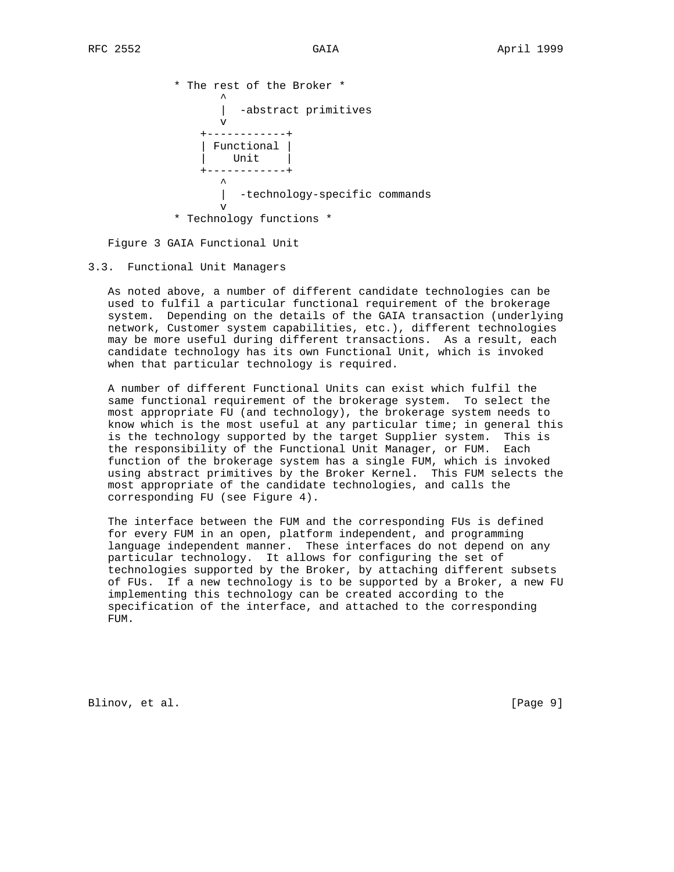\* The rest of the Broker \*  $\mathcal{L}^{\mathcal{A}}$  and  $\mathcal{L}^{\mathcal{A}}$  and  $\mathcal{L}^{\mathcal{A}}$  and  $\mathcal{L}^{\mathcal{A}}$ -abstract primitives v +------------+ | Functional | Unit | +------------+  $\sim$   $\sim$   $\sim$   $\sim$   $\sim$   $\sim$   $\sim$  | -technology-specific commands v \* Technology functions \*

Figure 3 GAIA Functional Unit

### 3.3. Functional Unit Managers

 As noted above, a number of different candidate technologies can be used to fulfil a particular functional requirement of the brokerage system. Depending on the details of the GAIA transaction (underlying network, Customer system capabilities, etc.), different technologies may be more useful during different transactions. As a result, each candidate technology has its own Functional Unit, which is invoked when that particular technology is required.

 A number of different Functional Units can exist which fulfil the same functional requirement of the brokerage system. To select the most appropriate FU (and technology), the brokerage system needs to know which is the most useful at any particular time; in general this is the technology supported by the target Supplier system. This is the responsibility of the Functional Unit Manager, or FUM. Each function of the brokerage system has a single FUM, which is invoked using abstract primitives by the Broker Kernel. This FUM selects the most appropriate of the candidate technologies, and calls the corresponding FU (see Figure 4).

 The interface between the FUM and the corresponding FUs is defined for every FUM in an open, platform independent, and programming language independent manner. These interfaces do not depend on any particular technology. It allows for configuring the set of technologies supported by the Broker, by attaching different subsets of FUs. If a new technology is to be supported by a Broker, a new FU implementing this technology can be created according to the specification of the interface, and attached to the corresponding FUM.

Blinov, et al. [Page 9]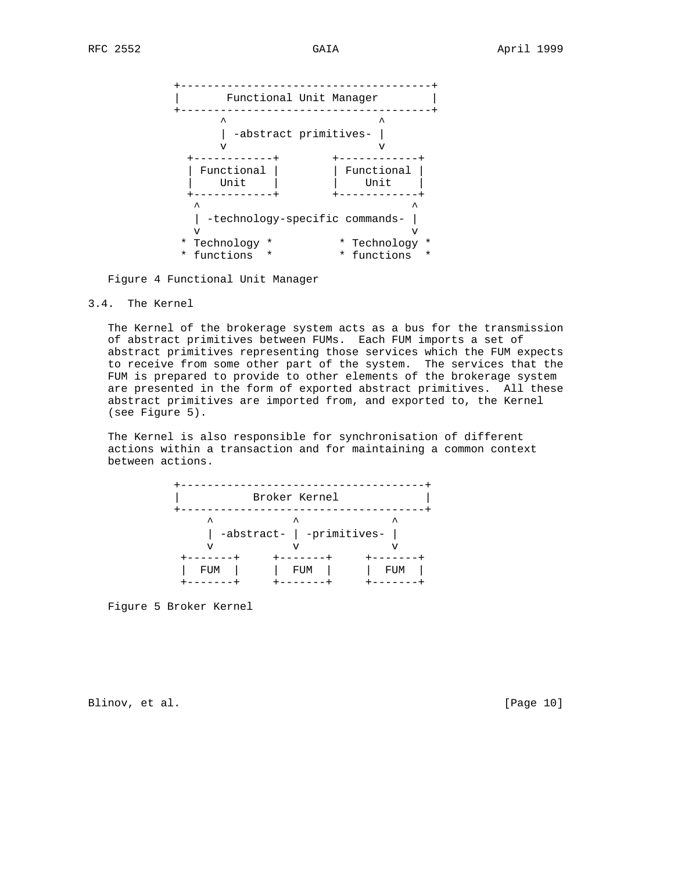

Figure 4 Functional Unit Manager

### 3.4. The Kernel

 The Kernel of the brokerage system acts as a bus for the transmission of abstract primitives between FUMs. Each FUM imports a set of abstract primitives representing those services which the FUM expects to receive from some other part of the system. The services that the FUM is prepared to provide to other elements of the brokerage system are presented in the form of exported abstract primitives. All these abstract primitives are imported from, and exported to, the Kernel (see Figure 5).

 The Kernel is also responsible for synchronisation of different actions within a transaction and for maintaining a common context between actions.

|         | Broker Kernel                  |     |
|---------|--------------------------------|-----|
| ᄉ<br>٦T | ᄉ<br>-abstract-   -primitives- |     |
| FUM     | FUM                            | FUM |

Figure 5 Broker Kernel

Blinov, et al. [Page 10]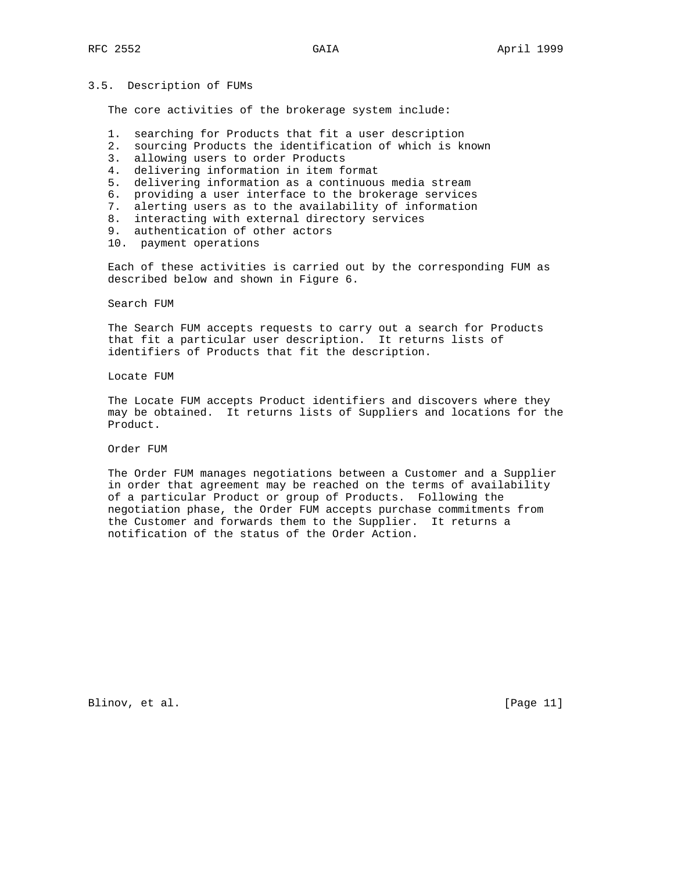#### 3.5. Description of FUMs

The core activities of the brokerage system include:

- 1. searching for Products that fit a user description
- 2. sourcing Products the identification of which is known
- 3. allowing users to order Products
- 4. delivering information in item format
- 5. delivering information as a continuous media stream
- 6. providing a user interface to the brokerage services
- 7. alerting users as to the availability of information
- 8. interacting with external directory services
- 9. authentication of other actors
- 10. payment operations

 Each of these activities is carried out by the corresponding FUM as described below and shown in Figure 6.

Search FUM

 The Search FUM accepts requests to carry out a search for Products that fit a particular user description. It returns lists of identifiers of Products that fit the description.

Locate FUM

 The Locate FUM accepts Product identifiers and discovers where they may be obtained. It returns lists of Suppliers and locations for the Product.

Order FUM

 The Order FUM manages negotiations between a Customer and a Supplier in order that agreement may be reached on the terms of availability of a particular Product or group of Products. Following the negotiation phase, the Order FUM accepts purchase commitments from the Customer and forwards them to the Supplier. It returns a notification of the status of the Order Action.

Blinov, et al. [Page 11]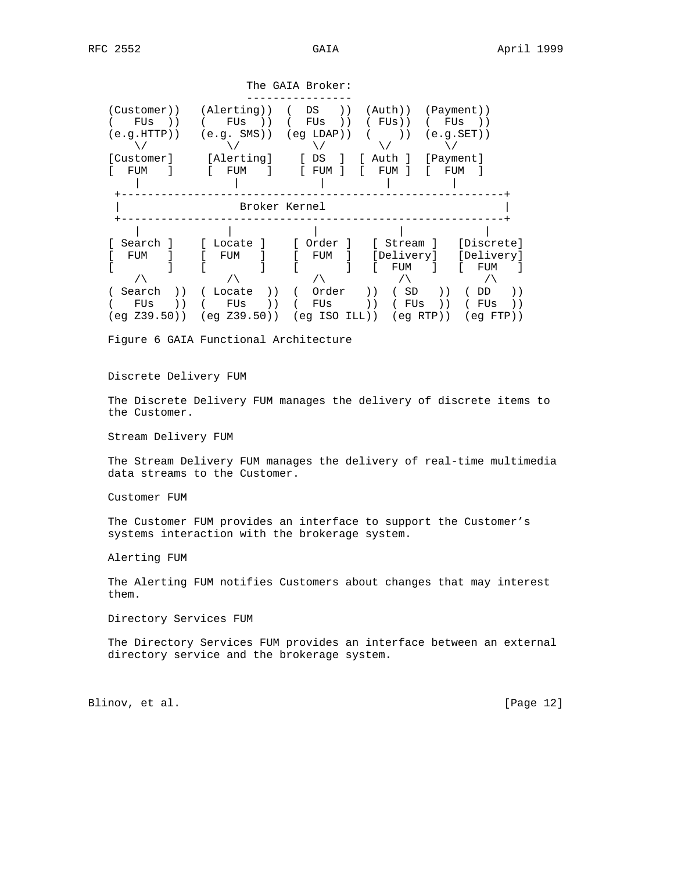The GAIA Broker: ---------------- (Customer)) (Alerting)) ( DS )) (Auth)) (Payment)) ( FUs )) ( FUs )) ( FUs )) ( FUs)) ( FUs )) (e.g.HTTP)) (e.g. SMS)) (eg LDAP)) ( )) (e.g.SET))  $\sqrt{ }$  [Customer] [Alerting] [ DS ] [ Auth ] [Payment] [ FUM ] [ FUM ] [ FUM ] [ FUM ] [ FUM ] | | | | | +----------------------------------------------------------+ | Broker Kernel | +----------------------------------------------------------+ | | | | | [ Search ] [ Locate ] [ Order ] [ Stream ] [Discrete] [ FUM ] [ FUM ] [ FUM ] [Delivery] [Delivery] [ ] [ ] [ ] [ FUM ] [ FUM ] /\ /\ /\ /\ /\ ( Search )) ( Locate )) ( Order )) ( SD )) ( DD )) ( FUs )) ( FUs )) ( FUs )) ( FUs )) ( FUs )) (eg Z39.50)) (eg Z39.50)) (eg ISO ILL)) (eg RTP)) (eg FTP))

Figure 6 GAIA Functional Architecture

#### Discrete Delivery FUM

 The Discrete Delivery FUM manages the delivery of discrete items to the Customer.

Stream Delivery FUM

 The Stream Delivery FUM manages the delivery of real-time multimedia data streams to the Customer.

Customer FUM

 The Customer FUM provides an interface to support the Customer's systems interaction with the brokerage system.

Alerting FUM

 The Alerting FUM notifies Customers about changes that may interest them.

Directory Services FUM

 The Directory Services FUM provides an interface between an external directory service and the brokerage system.

Blinov, et al. [Page 12]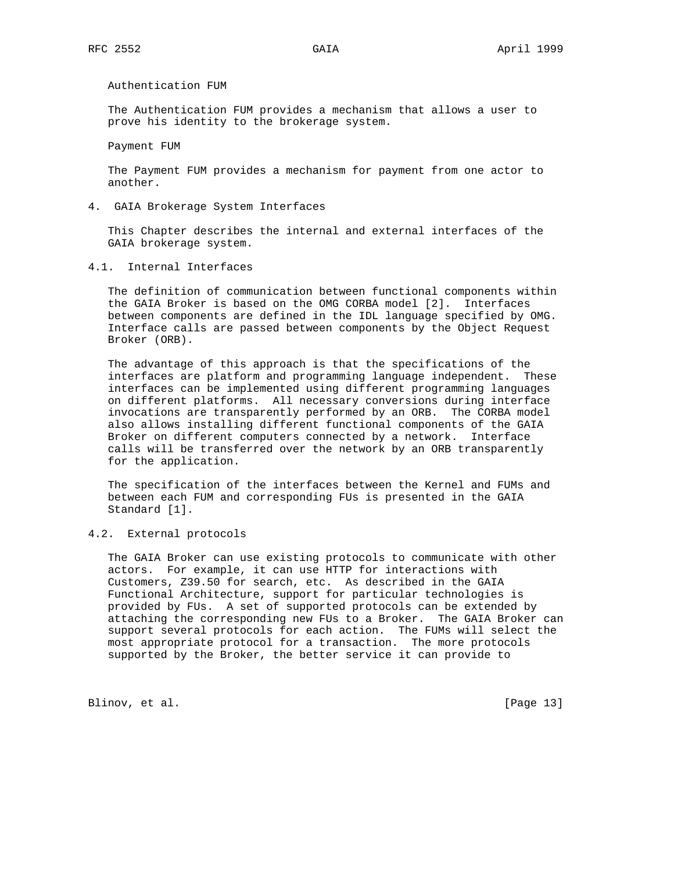Authentication FUM

 The Authentication FUM provides a mechanism that allows a user to prove his identity to the brokerage system.

Payment FUM

 The Payment FUM provides a mechanism for payment from one actor to another.

4. GAIA Brokerage System Interfaces

 This Chapter describes the internal and external interfaces of the GAIA brokerage system.

4.1. Internal Interfaces

 The definition of communication between functional components within the GAIA Broker is based on the OMG CORBA model [2]. Interfaces between components are defined in the IDL language specified by OMG. Interface calls are passed between components by the Object Request Broker (ORB).

 The advantage of this approach is that the specifications of the interfaces are platform and programming language independent. These interfaces can be implemented using different programming languages on different platforms. All necessary conversions during interface invocations are transparently performed by an ORB. The CORBA model also allows installing different functional components of the GAIA Broker on different computers connected by a network. Interface calls will be transferred over the network by an ORB transparently for the application.

 The specification of the interfaces between the Kernel and FUMs and between each FUM and corresponding FUs is presented in the GAIA Standard [1].

### 4.2. External protocols

 The GAIA Broker can use existing protocols to communicate with other actors. For example, it can use HTTP for interactions with Customers, Z39.50 for search, etc. As described in the GAIA Functional Architecture, support for particular technologies is provided by FUs. A set of supported protocols can be extended by attaching the corresponding new FUs to a Broker. The GAIA Broker can support several protocols for each action. The FUMs will select the most appropriate protocol for a transaction. The more protocols supported by the Broker, the better service it can provide to

Blinov, et al. [Page 13]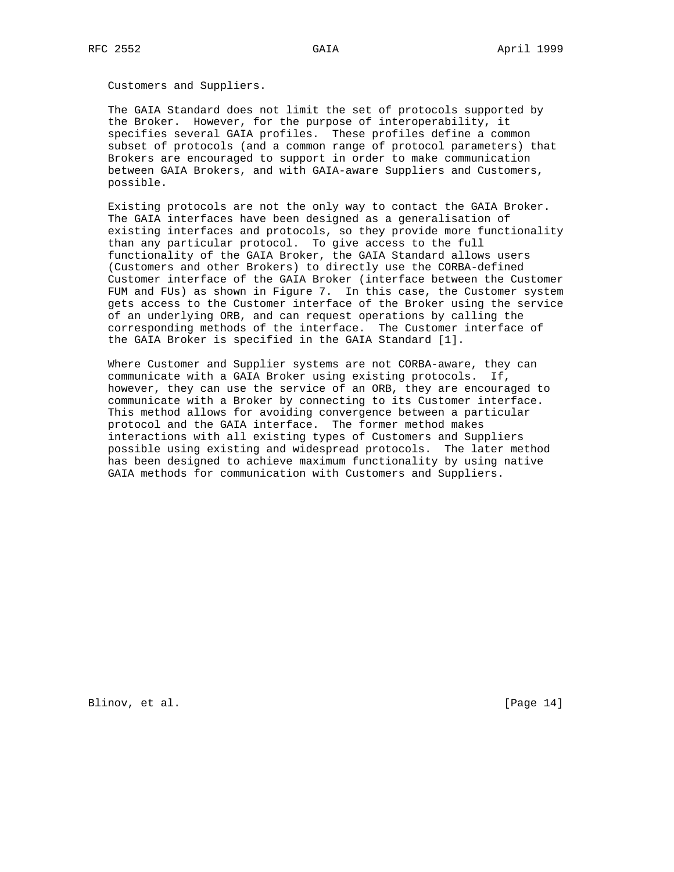Customers and Suppliers.

 The GAIA Standard does not limit the set of protocols supported by the Broker. However, for the purpose of interoperability, it specifies several GAIA profiles. These profiles define a common subset of protocols (and a common range of protocol parameters) that Brokers are encouraged to support in order to make communication between GAIA Brokers, and with GAIA-aware Suppliers and Customers, possible.

 Existing protocols are not the only way to contact the GAIA Broker. The GAIA interfaces have been designed as a generalisation of existing interfaces and protocols, so they provide more functionality than any particular protocol. To give access to the full functionality of the GAIA Broker, the GAIA Standard allows users (Customers and other Brokers) to directly use the CORBA-defined Customer interface of the GAIA Broker (interface between the Customer FUM and FUs) as shown in Figure 7. In this case, the Customer system gets access to the Customer interface of the Broker using the service of an underlying ORB, and can request operations by calling the corresponding methods of the interface. The Customer interface of the GAIA Broker is specified in the GAIA Standard [1].

 Where Customer and Supplier systems are not CORBA-aware, they can communicate with a GAIA Broker using existing protocols. If, however, they can use the service of an ORB, they are encouraged to communicate with a Broker by connecting to its Customer interface. This method allows for avoiding convergence between a particular protocol and the GAIA interface. The former method makes interactions with all existing types of Customers and Suppliers possible using existing and widespread protocols. The later method has been designed to achieve maximum functionality by using native GAIA methods for communication with Customers and Suppliers.

Blinov, et al. [Page 14]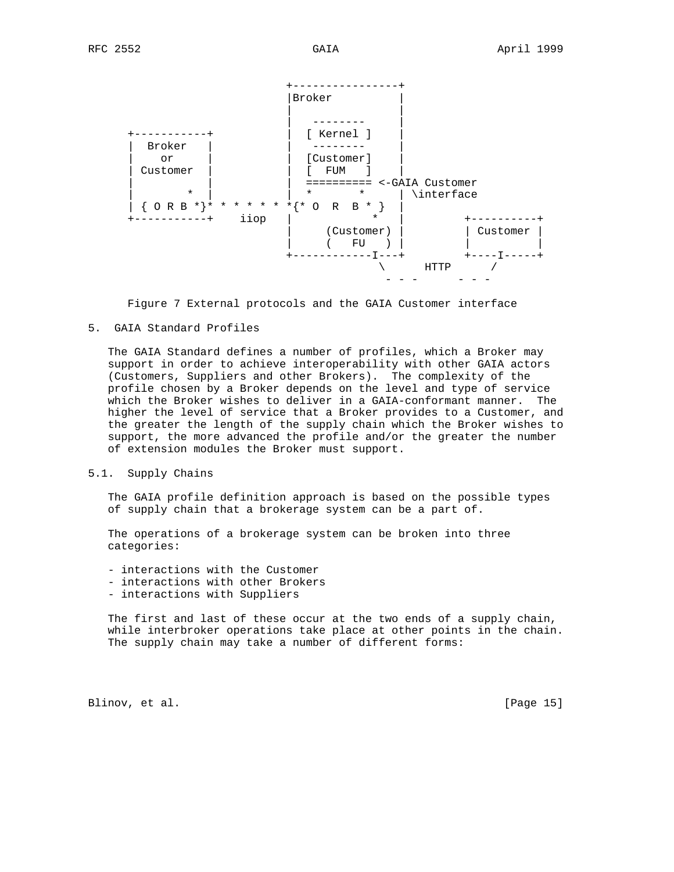



5. GAIA Standard Profiles

 The GAIA Standard defines a number of profiles, which a Broker may support in order to achieve interoperability with other GAIA actors (Customers, Suppliers and other Brokers). The complexity of the profile chosen by a Broker depends on the level and type of service which the Broker wishes to deliver in a GAIA-conformant manner. The higher the level of service that a Broker provides to a Customer, and the greater the length of the supply chain which the Broker wishes to support, the more advanced the profile and/or the greater the number of extension modules the Broker must support.

### 5.1. Supply Chains

 The GAIA profile definition approach is based on the possible types of supply chain that a brokerage system can be a part of.

 The operations of a brokerage system can be broken into three categories:

- interactions with the Customer
- interactions with other Brokers
- interactions with Suppliers

 The first and last of these occur at the two ends of a supply chain, while interbroker operations take place at other points in the chain. The supply chain may take a number of different forms:

Blinov, et al. [Page 15]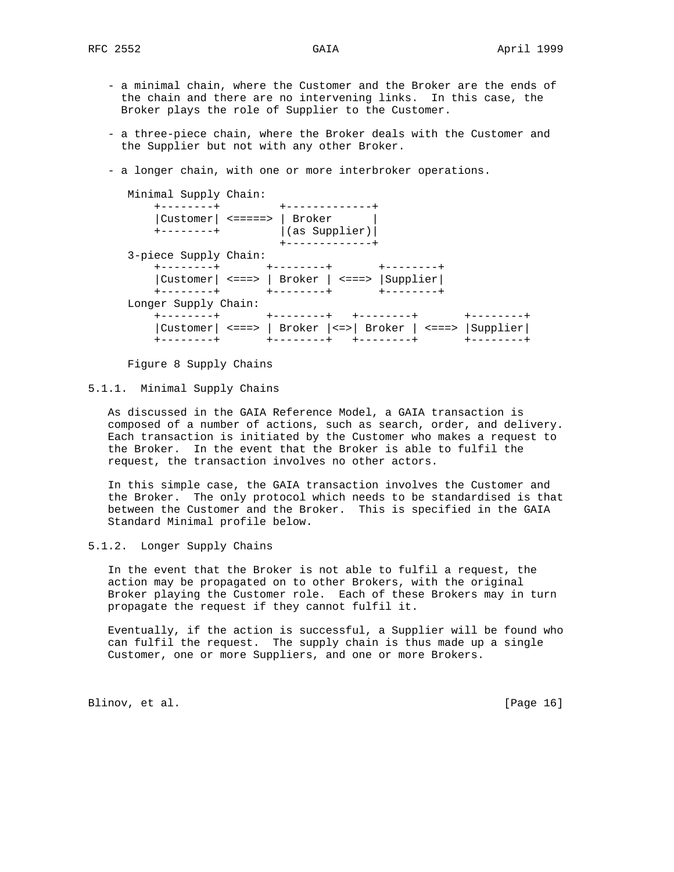- a minimal chain, where the Customer and the Broker are the ends of the chain and there are no intervening links. In this case, the Broker plays the role of Supplier to the Customer.
- a three-piece chain, where the Broker deals with the Customer and the Supplier but not with any other Broker.
- a longer chain, with one or more interbroker operations.

| Minimal Supply Chain:                                                                                   |                     |
|---------------------------------------------------------------------------------------------------------|---------------------|
| $+ - - - - - - - +$<br>+-------------+                                                                  |                     |
|                                                                                                         |                     |
| (as Supplier)<br>$+ - - - - - - - +$                                                                    |                     |
|                                                                                                         |                     |
| 3-piece Supply Chain:                                                                                   |                     |
| +--------+<br>-------+<br>$+ - - - - - - - -$                                                           |                     |
| Customer  <===>   Broker   <===>  Supplier                                                              |                     |
| +--------+<br>- - - - - - - +<br>+--------+                                                             |                     |
| Longer Supply Chain:                                                                                    |                     |
| +--------+ +--------+<br>- - - - - - - +                                                                | $+ - - - - - - - +$ |
| $\vert$ Customer $\vert$ <===> $\vert$ Broker $\vert$ <=> $\vert$ Broker $\vert$ <===> $\vert$ Supplier |                     |
| +--------+<br>$+ - - - - - - - +$                                                                       | $+ - - - - - - - +$ |

Figure 8 Supply Chains

### 5.1.1. Minimal Supply Chains

 As discussed in the GAIA Reference Model, a GAIA transaction is composed of a number of actions, such as search, order, and delivery. Each transaction is initiated by the Customer who makes a request to the Broker. In the event that the Broker is able to fulfil the request, the transaction involves no other actors.

 In this simple case, the GAIA transaction involves the Customer and the Broker. The only protocol which needs to be standardised is that between the Customer and the Broker. This is specified in the GAIA Standard Minimal profile below.

### 5.1.2. Longer Supply Chains

 In the event that the Broker is not able to fulfil a request, the action may be propagated on to other Brokers, with the original Broker playing the Customer role. Each of these Brokers may in turn propagate the request if they cannot fulfil it.

 Eventually, if the action is successful, a Supplier will be found who can fulfil the request. The supply chain is thus made up a single Customer, one or more Suppliers, and one or more Brokers.

Blinov, et al. [Page 16]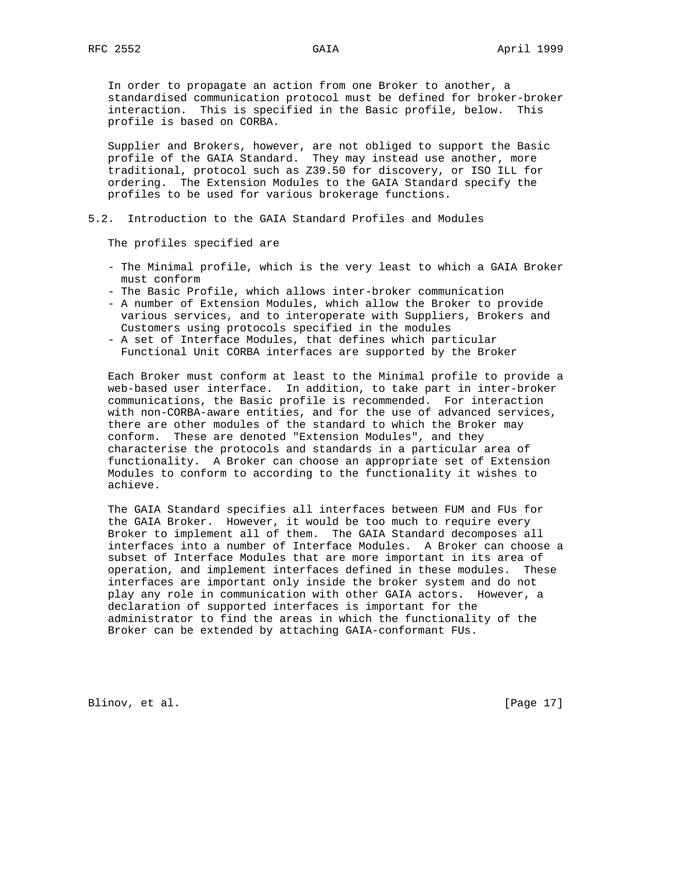In order to propagate an action from one Broker to another, a standardised communication protocol must be defined for broker-broker interaction. This is specified in the Basic profile, below. This profile is based on CORBA.

 Supplier and Brokers, however, are not obliged to support the Basic profile of the GAIA Standard. They may instead use another, more traditional, protocol such as Z39.50 for discovery, or ISO ILL for ordering. The Extension Modules to the GAIA Standard specify the profiles to be used for various brokerage functions.

#### 5.2. Introduction to the GAIA Standard Profiles and Modules

The profiles specified are

- The Minimal profile, which is the very least to which a GAIA Broker must conform
- The Basic Profile, which allows inter-broker communication
- A number of Extension Modules, which allow the Broker to provide various services, and to interoperate with Suppliers, Brokers and Customers using protocols specified in the modules
- A set of Interface Modules, that defines which particular Functional Unit CORBA interfaces are supported by the Broker

 Each Broker must conform at least to the Minimal profile to provide a web-based user interface. In addition, to take part in inter-broker communications, the Basic profile is recommended. For interaction with non-CORBA-aware entities, and for the use of advanced services, there are other modules of the standard to which the Broker may conform. These are denoted "Extension Modules", and they characterise the protocols and standards in a particular area of functionality. A Broker can choose an appropriate set of Extension Modules to conform to according to the functionality it wishes to achieve.

 The GAIA Standard specifies all interfaces between FUM and FUs for the GAIA Broker. However, it would be too much to require every Broker to implement all of them. The GAIA Standard decomposes all interfaces into a number of Interface Modules. A Broker can choose a subset of Interface Modules that are more important in its area of operation, and implement interfaces defined in these modules. These interfaces are important only inside the broker system and do not play any role in communication with other GAIA actors. However, a declaration of supported interfaces is important for the administrator to find the areas in which the functionality of the Broker can be extended by attaching GAIA-conformant FUs.

Blinov, et al. [Page 17]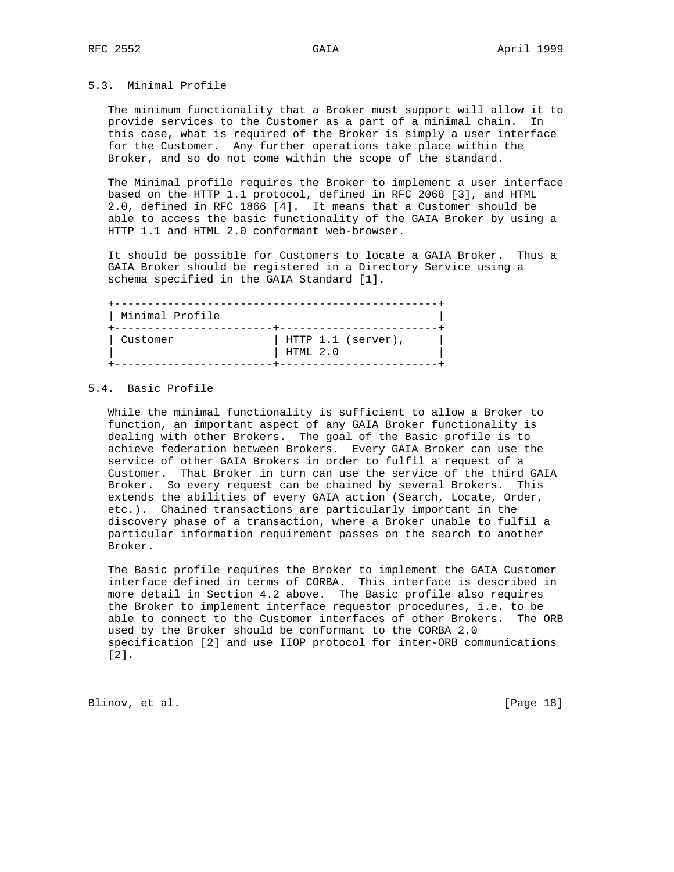### 5.3. Minimal Profile

 The minimum functionality that a Broker must support will allow it to provide services to the Customer as a part of a minimal chain. In this case, what is required of the Broker is simply a user interface for the Customer. Any further operations take place within the Broker, and so do not come within the scope of the standard.

 The Minimal profile requires the Broker to implement a user interface based on the HTTP 1.1 protocol, defined in RFC 2068 [3], and HTML 2.0, defined in RFC 1866 [4]. It means that a Customer should be able to access the basic functionality of the GAIA Broker by using a HTTP 1.1 and HTML 2.0 conformant web-browser.

 It should be possible for Customers to locate a GAIA Broker. Thus a GAIA Broker should be registered in a Directory Service using a schema specified in the GAIA Standard [1].

| Minimal Profile |                                |
|-----------------|--------------------------------|
| Customer        | HTTP 1.1 (server),<br>HTML 2.0 |
|                 |                                |

### 5.4. Basic Profile

 While the minimal functionality is sufficient to allow a Broker to function, an important aspect of any GAIA Broker functionality is dealing with other Brokers. The goal of the Basic profile is to achieve federation between Brokers. Every GAIA Broker can use the service of other GAIA Brokers in order to fulfil a request of a Customer. That Broker in turn can use the service of the third GAIA Broker. So every request can be chained by several Brokers. This extends the abilities of every GAIA action (Search, Locate, Order, etc.). Chained transactions are particularly important in the discovery phase of a transaction, where a Broker unable to fulfil a particular information requirement passes on the search to another Broker.

 The Basic profile requires the Broker to implement the GAIA Customer interface defined in terms of CORBA. This interface is described in more detail in Section 4.2 above. The Basic profile also requires the Broker to implement interface requestor procedures, i.e. to be able to connect to the Customer interfaces of other Brokers. The ORB used by the Broker should be conformant to the CORBA 2.0 specification [2] and use IIOP protocol for inter-ORB communications [2].

Blinov, et al. [Page 18]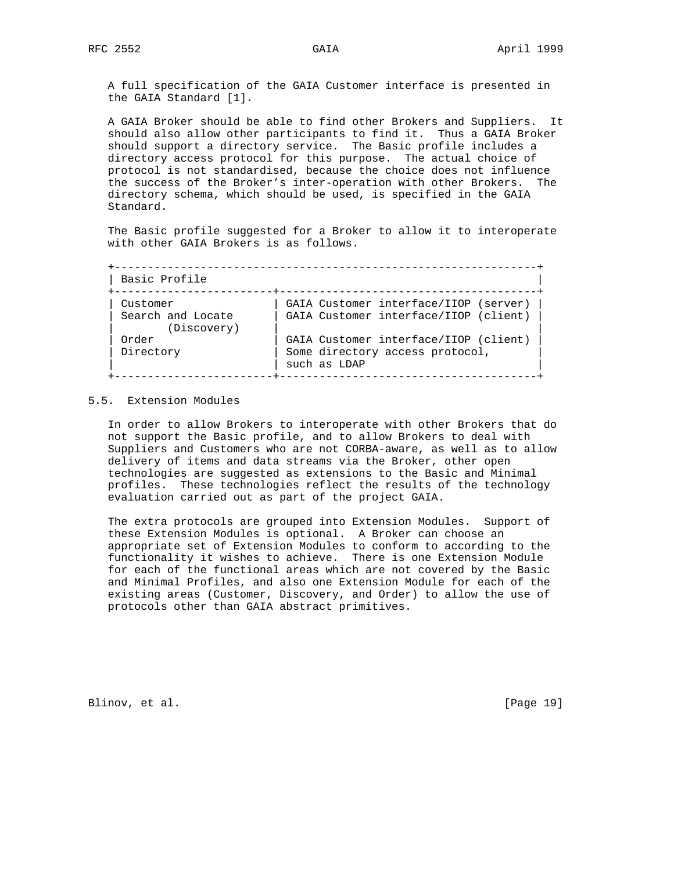A full specification of the GAIA Customer interface is presented in the GAIA Standard [1].

 A GAIA Broker should be able to find other Brokers and Suppliers. It should also allow other participants to find it. Thus a GAIA Broker should support a directory service. The Basic profile includes a directory access protocol for this purpose. The actual choice of protocol is not standardised, because the choice does not influence the success of the Broker's inter-operation with other Brokers. The directory schema, which should be used, is specified in the GAIA Standard.

 The Basic profile suggested for a Broker to allow it to interoperate with other GAIA Brokers is as follows.

 +----------------------------------------------------------------+ | Basic Profile | +------------------------+---------------------------------------+ | Customer | GAIA Customer interface/IIOP (server) | | Search and Locate | GAIA Customer interface/IIOP (client) | | (Discovery) | | | Order | GAIA Customer interface/IIOP (client) |<br>| Directory | Some directory access protocol, | Directory | Some directory access protocol,  $|$  $\vert$  such as LDAP  $\vert$ +------------------------+---------------------------------------+

### 5.5. Extension Modules

 In order to allow Brokers to interoperate with other Brokers that do not support the Basic profile, and to allow Brokers to deal with Suppliers and Customers who are not CORBA-aware, as well as to allow delivery of items and data streams via the Broker, other open technologies are suggested as extensions to the Basic and Minimal profiles. These technologies reflect the results of the technology evaluation carried out as part of the project GAIA.

 The extra protocols are grouped into Extension Modules. Support of these Extension Modules is optional. A Broker can choose an appropriate set of Extension Modules to conform to according to the functionality it wishes to achieve. There is one Extension Module for each of the functional areas which are not covered by the Basic and Minimal Profiles, and also one Extension Module for each of the existing areas (Customer, Discovery, and Order) to allow the use of protocols other than GAIA abstract primitives.

Blinov, et al. [Page 19]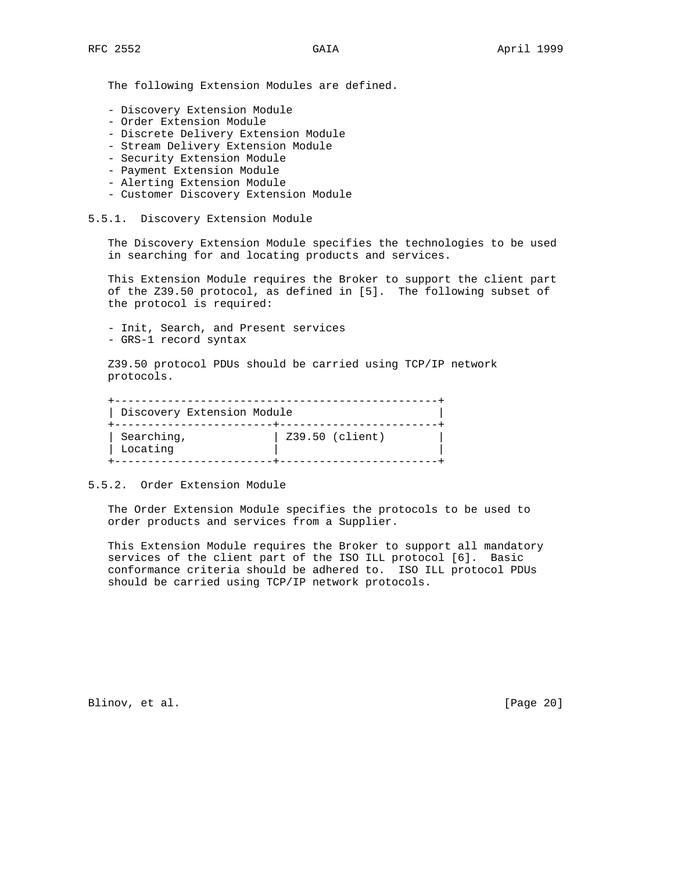The following Extension Modules are defined.

- Discovery Extension Module
- Order Extension Module
- Discrete Delivery Extension Module
- Stream Delivery Extension Module
- Security Extension Module
- Payment Extension Module
- Alerting Extension Module
- Customer Discovery Extension Module
- 5.5.1. Discovery Extension Module

 The Discovery Extension Module specifies the technologies to be used in searching for and locating products and services.

 This Extension Module requires the Broker to support the client part of the Z39.50 protocol, as defined in [5]. The following subset of the protocol is required:

 - Init, Search, and Present services - GRS-1 record syntax

 Z39.50 protocol PDUs should be carried using TCP/IP network protocols.

| Discovery Extension Module |                 |
|----------------------------|-----------------|
| Searching,<br>Locating     | Z39.50 (client) |

#### 5.5.2. Order Extension Module

 The Order Extension Module specifies the protocols to be used to order products and services from a Supplier.

 This Extension Module requires the Broker to support all mandatory services of the client part of the ISO ILL protocol [6]. Basic conformance criteria should be adhered to. ISO ILL protocol PDUs should be carried using TCP/IP network protocols.

Blinov, et al. [Page 20]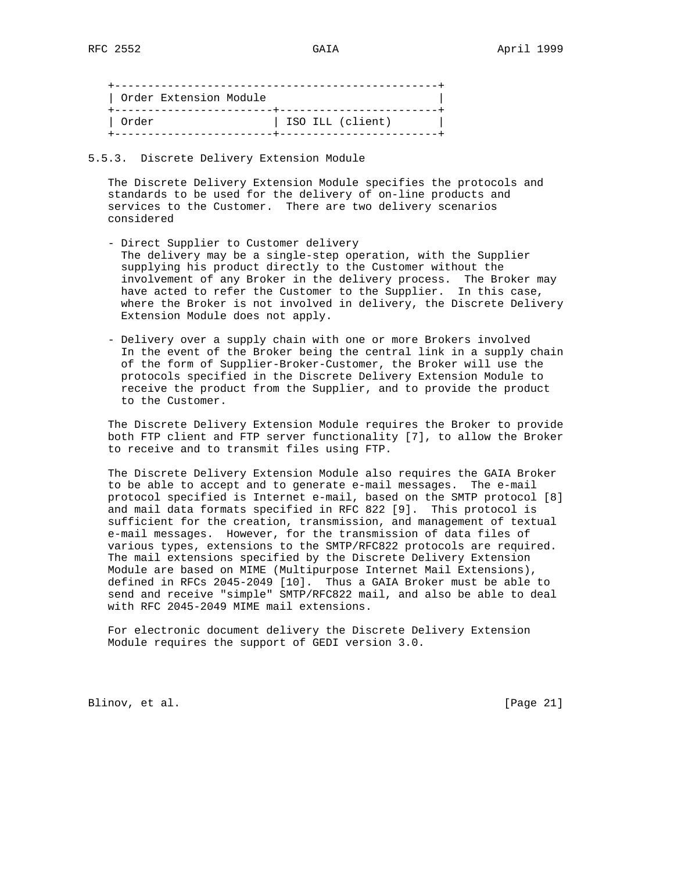+-------------------------------------------------+ | Order Extension Module | +------------------------+------------------------+ | Order | ISO ILL (client) | +------------------------+------------------------+

### 5.5.3. Discrete Delivery Extension Module

 The Discrete Delivery Extension Module specifies the protocols and standards to be used for the delivery of on-line products and services to the Customer. There are two delivery scenarios considered

- Direct Supplier to Customer delivery The delivery may be a single-step operation, with the Supplier supplying his product directly to the Customer without the involvement of any Broker in the delivery process. The Broker may have acted to refer the Customer to the Supplier. In this case, where the Broker is not involved in delivery, the Discrete Delivery Extension Module does not apply.
- Delivery over a supply chain with one or more Brokers involved In the event of the Broker being the central link in a supply chain of the form of Supplier-Broker-Customer, the Broker will use the protocols specified in the Discrete Delivery Extension Module to receive the product from the Supplier, and to provide the product to the Customer.

 The Discrete Delivery Extension Module requires the Broker to provide both FTP client and FTP server functionality [7], to allow the Broker to receive and to transmit files using FTP.

 The Discrete Delivery Extension Module also requires the GAIA Broker to be able to accept and to generate e-mail messages. The e-mail protocol specified is Internet e-mail, based on the SMTP protocol [8] and mail data formats specified in RFC 822 [9]. This protocol is sufficient for the creation, transmission, and management of textual e-mail messages. However, for the transmission of data files of various types, extensions to the SMTP/RFC822 protocols are required. The mail extensions specified by the Discrete Delivery Extension Module are based on MIME (Multipurpose Internet Mail Extensions), defined in RFCs 2045-2049 [10]. Thus a GAIA Broker must be able to send and receive "simple" SMTP/RFC822 mail, and also be able to deal with RFC 2045-2049 MIME mail extensions.

 For electronic document delivery the Discrete Delivery Extension Module requires the support of GEDI version 3.0.

Blinov, et al. [Page 21]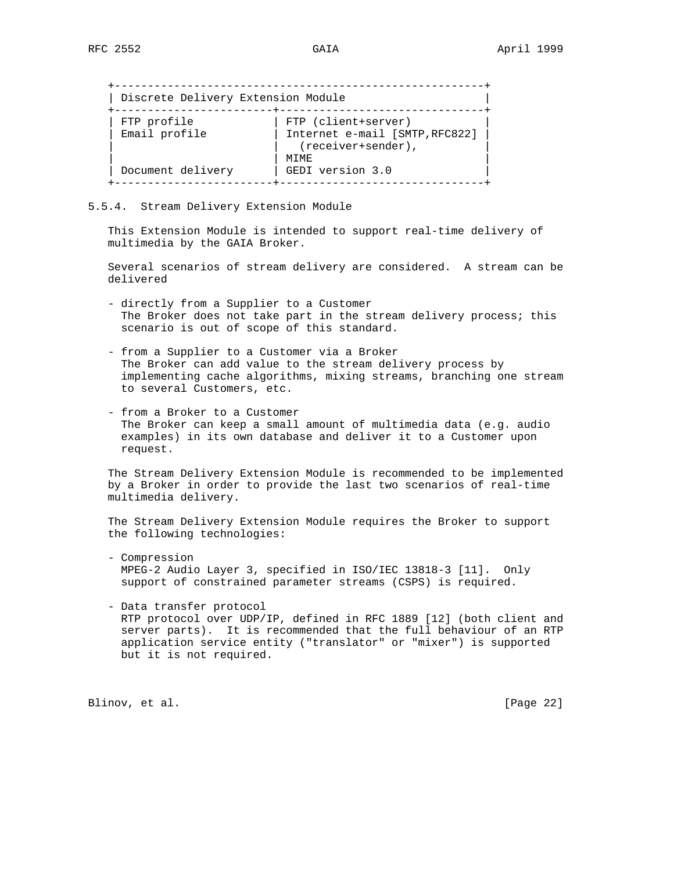| Discrete Delivery Extension Module |                                                                                      |
|------------------------------------|--------------------------------------------------------------------------------------|
| FTP profile<br>Email profile       | FTP (client+server)<br>Internet e-mail [SMTP, RFC822]<br>(receiver+sender),<br>MTMF. |
| Document delivery                  | GEDI version 3.0                                                                     |

5.5.4. Stream Delivery Extension Module

 This Extension Module is intended to support real-time delivery of multimedia by the GAIA Broker.

 Several scenarios of stream delivery are considered. A stream can be delivered

- directly from a Supplier to a Customer The Broker does not take part in the stream delivery process; this scenario is out of scope of this standard.
- from a Supplier to a Customer via a Broker The Broker can add value to the stream delivery process by implementing cache algorithms, mixing streams, branching one stream to several Customers, etc.
- from a Broker to a Customer The Broker can keep a small amount of multimedia data (e.g. audio examples) in its own database and deliver it to a Customer upon request.

 The Stream Delivery Extension Module is recommended to be implemented by a Broker in order to provide the last two scenarios of real-time multimedia delivery.

 The Stream Delivery Extension Module requires the Broker to support the following technologies:

 - Compression MPEG-2 Audio Layer 3, specified in ISO/IEC 13818-3 [11]. Only support of constrained parameter streams (CSPS) is required.

 - Data transfer protocol RTP protocol over UDP/IP, defined in RFC 1889 [12] (both client and server parts). It is recommended that the full behaviour of an RTP application service entity ("translator" or "mixer") is supported but it is not required.

Blinov, et al. [Page 22]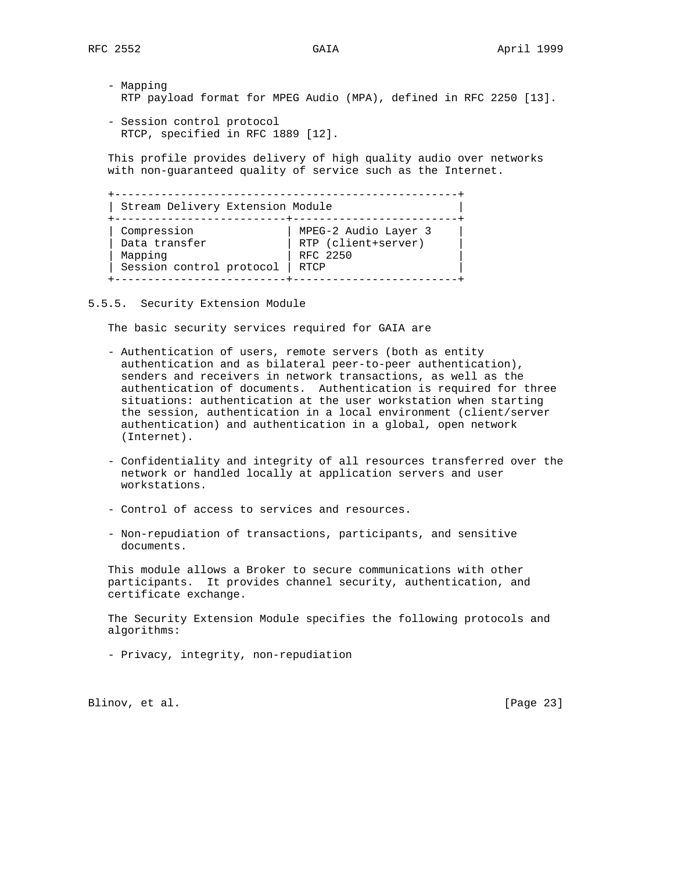- Mapping RTP payload format for MPEG Audio (MPA), defined in RFC 2250 [13].

 - Session control protocol RTCP, specified in RFC 1889 [12].

 This profile provides delivery of high quality audio over networks with non-guaranteed quality of service such as the Internet.

 +----------------------------------------------------+ | Stream Delivery Extension Module | +--------------------------+-------------------------+ | Compression | MPEG-2 Audio Layer 3 | | Data transfer | RTP (client+server) | | Mapping | RFC 2250 | | Session control protocol | RTCP | +--------------------------+-------------------------+

5.5.5. Security Extension Module

The basic security services required for GAIA are

- Authentication of users, remote servers (both as entity authentication and as bilateral peer-to-peer authentication), senders and receivers in network transactions, as well as the authentication of documents. Authentication is required for three situations: authentication at the user workstation when starting the session, authentication in a local environment (client/server authentication) and authentication in a global, open network (Internet).
	- Confidentiality and integrity of all resources transferred over the network or handled locally at application servers and user workstations.
	- Control of access to services and resources.
	- Non-repudiation of transactions, participants, and sensitive documents.

 This module allows a Broker to secure communications with other participants. It provides channel security, authentication, and certificate exchange.

 The Security Extension Module specifies the following protocols and algorithms:

- Privacy, integrity, non-repudiation

Blinov, et al. [Page 23]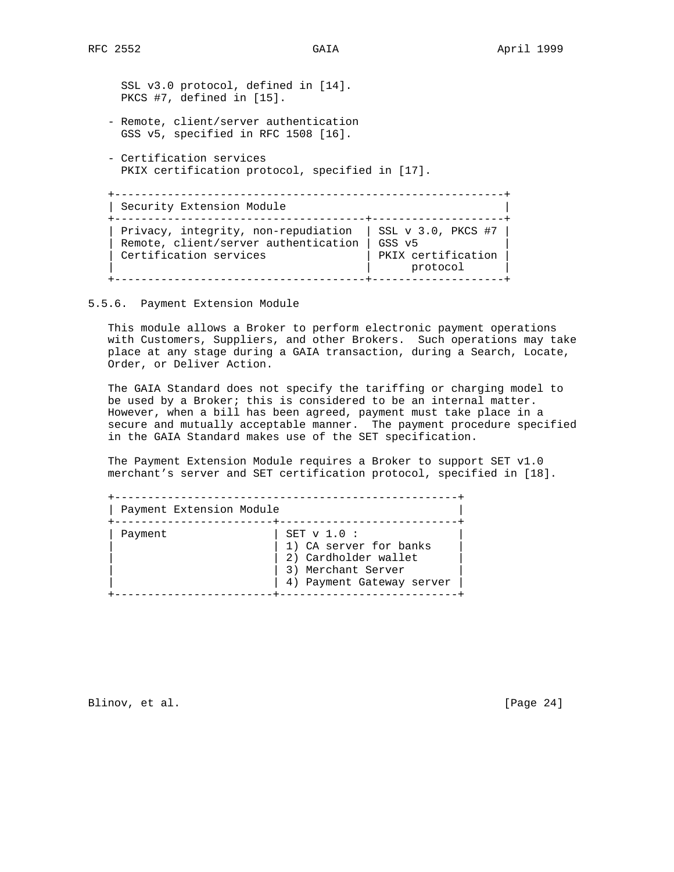SSL v3.0 protocol, defined in [14]. PKCS #7, defined in [15].

- Remote, client/server authentication GSS v5, specified in RFC 1508 [16].
- Certification services PKIX certification protocol, specified in [17].

 +-----------------------------------------------------------+ | Security Extension Module | +--------------------------------------+--------------------+ | Privacy, integrity, non-repudiation | SSL v 3.0, PKCS #7 | | Remote, client/server authentication | GSS v5 | | Certification services | PKIX certification | Remote, Circulation Services<br>
Certification services<br>  $\begin{array}{c|c} | & \text{PKIX certification} \\ | & \text{protocol} \\ | & \text{protocol} \\ | & \end{array}$ +--------------------------------------+--------------------+

#### 5.5.6. Payment Extension Module

 This module allows a Broker to perform electronic payment operations with Customers, Suppliers, and other Brokers. Such operations may take place at any stage during a GAIA transaction, during a Search, Locate, Order, or Deliver Action.

 The GAIA Standard does not specify the tariffing or charging model to be used by a Broker; this is considered to be an internal matter. However, when a bill has been agreed, payment must take place in a secure and mutually acceptable manner. The payment procedure specified in the GAIA Standard makes use of the SET specification.

 The Payment Extension Module requires a Broker to support SET v1.0 merchant's server and SET certification protocol, specified in [18].

| Payment Extension Module |                                                                                                                    |
|--------------------------|--------------------------------------------------------------------------------------------------------------------|
| Payment                  | SET $v$ 1.0 :<br>1) CA server for banks<br>2) Cardholder wallet<br>3) Merchant Server<br>4) Payment Gateway server |

Blinov, et al. [Page 24]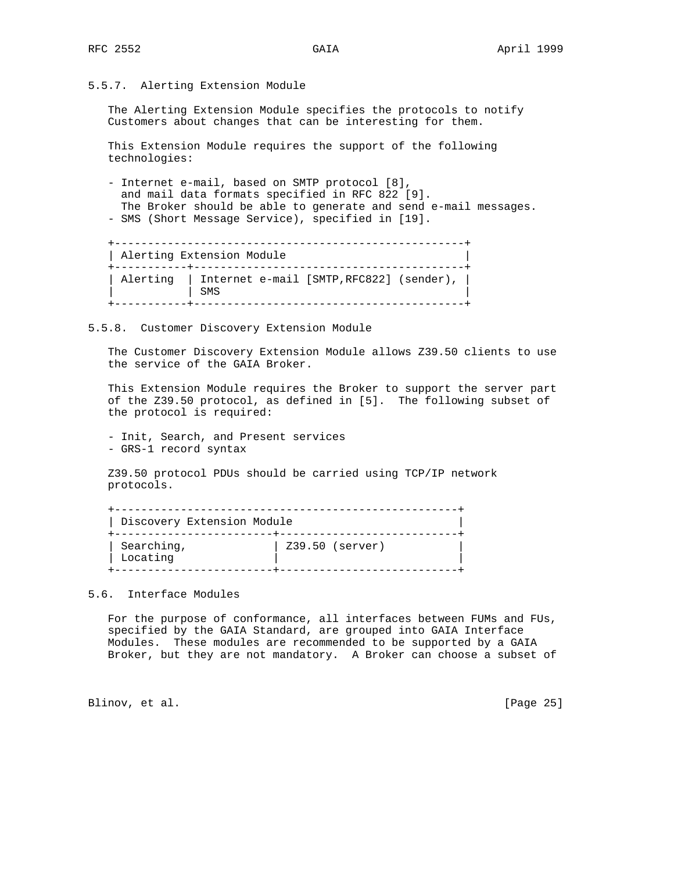5.5.7. Alerting Extension Module

 The Alerting Extension Module specifies the protocols to notify Customers about changes that can be interesting for them.

 This Extension Module requires the support of the following technologies:

 - Internet e-mail, based on SMTP protocol [8], and mail data formats specified in RFC 822 [9]. The Broker should be able to generate and send e-mail messages. - SMS (Short Message Service), specified in [19].

 +-----------------------------------------------------+ | Alerting Extension Module | +-----------+-----------------------------------------+ | Alerting | Internet e-mail [SMTP,RFC822] (sender), | | | SMS | +-----------+-----------------------------------------+

5.5.8. Customer Discovery Extension Module

 The Customer Discovery Extension Module allows Z39.50 clients to use the service of the GAIA Broker.

 This Extension Module requires the Broker to support the server part of the Z39.50 protocol, as defined in [5]. The following subset of the protocol is required:

 - Init, Search, and Present services - GRS-1 record syntax

 Z39.50 protocol PDUs should be carried using TCP/IP network protocols.

| Discovery Extension Module |                 |
|----------------------------|-----------------|
| Searching,<br>Locating     | Z39.50 (server) |

5.6. Interface Modules

 For the purpose of conformance, all interfaces between FUMs and FUs, specified by the GAIA Standard, are grouped into GAIA Interface Modules. These modules are recommended to be supported by a GAIA Broker, but they are not mandatory. A Broker can choose a subset of

Blinov, et al. [Page 25]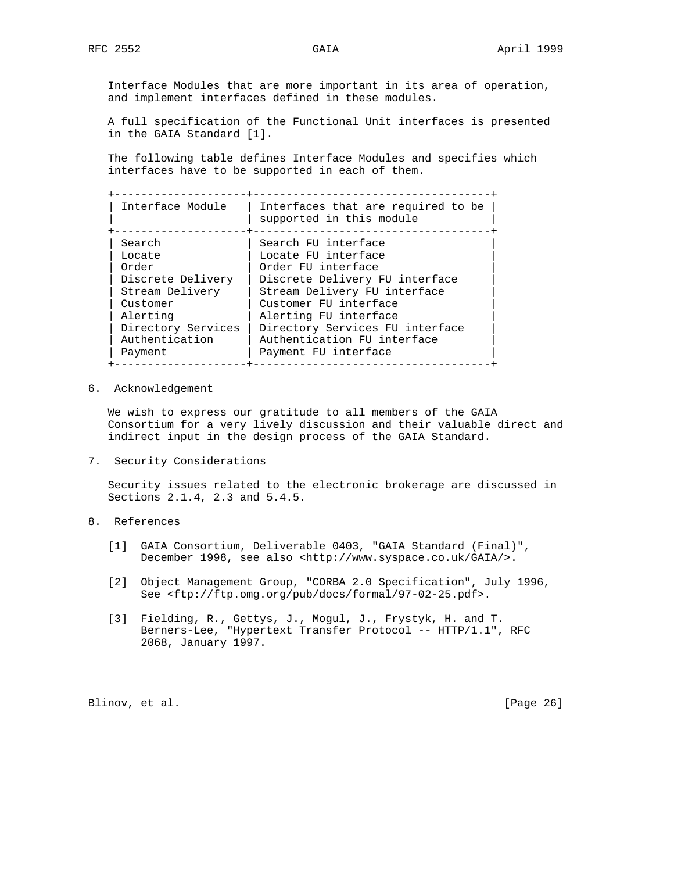Interface Modules that are more important in its area of operation, and implement interfaces defined in these modules.

 A full specification of the Functional Unit interfaces is presented in the GAIA Standard [1].

 The following table defines Interface Modules and specifies which interfaces have to be supported in each of them.

 +--------------------+------------------------------------+ | Interface Module | Interfaces that are required to be |

| INTERTACE MODULE   | Interlaces that are required to be<br>supported in this module |
|--------------------|----------------------------------------------------------------|
| Search             | Search FU interface                                            |
| Locate             | Locate FU interface                                            |
| Order              | Order FU interface                                             |
| Discrete Delivery  | Discrete Delivery FU interface                                 |
| Stream Delivery    | Stream Delivery FU interface                                   |
| Customer           | Customer FU interface                                          |
| Alerting           | Alerting FU interface                                          |
| Directory Services | Directory Services FU interface                                |
| Authentication     | Authentication FU interface                                    |
| Payment            | Payment FU interface                                           |

6. Acknowledgement

 We wish to express our gratitude to all members of the GAIA Consortium for a very lively discussion and their valuable direct and indirect input in the design process of the GAIA Standard.

7. Security Considerations

 Security issues related to the electronic brokerage are discussed in Sections 2.1.4, 2.3 and 5.4.5.

# 8. References

- [1] GAIA Consortium, Deliverable 0403, "GAIA Standard (Final)", December 1998, see also <http://www.syspace.co.uk/GAIA/>.
- [2] Object Management Group, "CORBA 2.0 Specification", July 1996, See <ftp://ftp.omg.org/pub/docs/formal/97-02-25.pdf>.
- [3] Fielding, R., Gettys, J., Mogul, J., Frystyk, H. and T. Berners-Lee, "Hypertext Transfer Protocol -- HTTP/1.1", RFC 2068, January 1997.

Blinov, et al. [Page 26]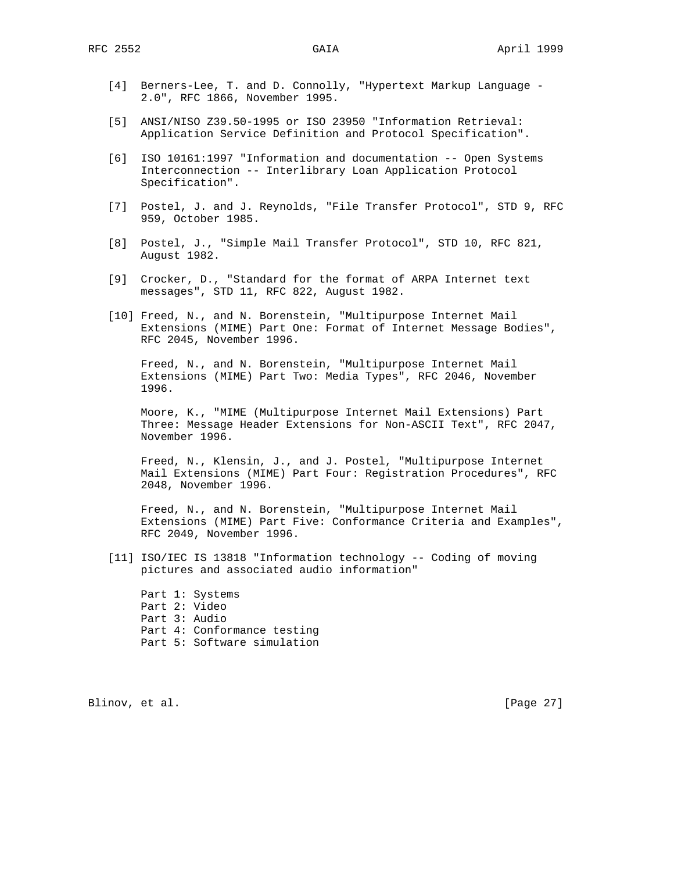- [4] Berners-Lee, T. and D. Connolly, "Hypertext Markup Language 2.0", RFC 1866, November 1995.
- [5] ANSI/NISO Z39.50-1995 or ISO 23950 "Information Retrieval: Application Service Definition and Protocol Specification".
- [6] ISO 10161:1997 "Information and documentation -- Open Systems Interconnection -- Interlibrary Loan Application Protocol Specification".
- [7] Postel, J. and J. Reynolds, "File Transfer Protocol", STD 9, RFC 959, October 1985.
- [8] Postel, J., "Simple Mail Transfer Protocol", STD 10, RFC 821, August 1982.
- [9] Crocker, D., "Standard for the format of ARPA Internet text messages", STD 11, RFC 822, August 1982.
- [10] Freed, N., and N. Borenstein, "Multipurpose Internet Mail Extensions (MIME) Part One: Format of Internet Message Bodies", RFC 2045, November 1996.

 Freed, N., and N. Borenstein, "Multipurpose Internet Mail Extensions (MIME) Part Two: Media Types", RFC 2046, November 1996.

 Moore, K., "MIME (Multipurpose Internet Mail Extensions) Part Three: Message Header Extensions for Non-ASCII Text", RFC 2047, November 1996.

 Freed, N., Klensin, J., and J. Postel, "Multipurpose Internet Mail Extensions (MIME) Part Four: Registration Procedures", RFC 2048, November 1996.

 Freed, N., and N. Borenstein, "Multipurpose Internet Mail Extensions (MIME) Part Five: Conformance Criteria and Examples", RFC 2049, November 1996.

 [11] ISO/IEC IS 13818 "Information technology -- Coding of moving pictures and associated audio information"

 Part 1: Systems Part 2: Video Part 3: Audio Part 4: Conformance testing Part 5: Software simulation

Blinov, et al. [Page 27]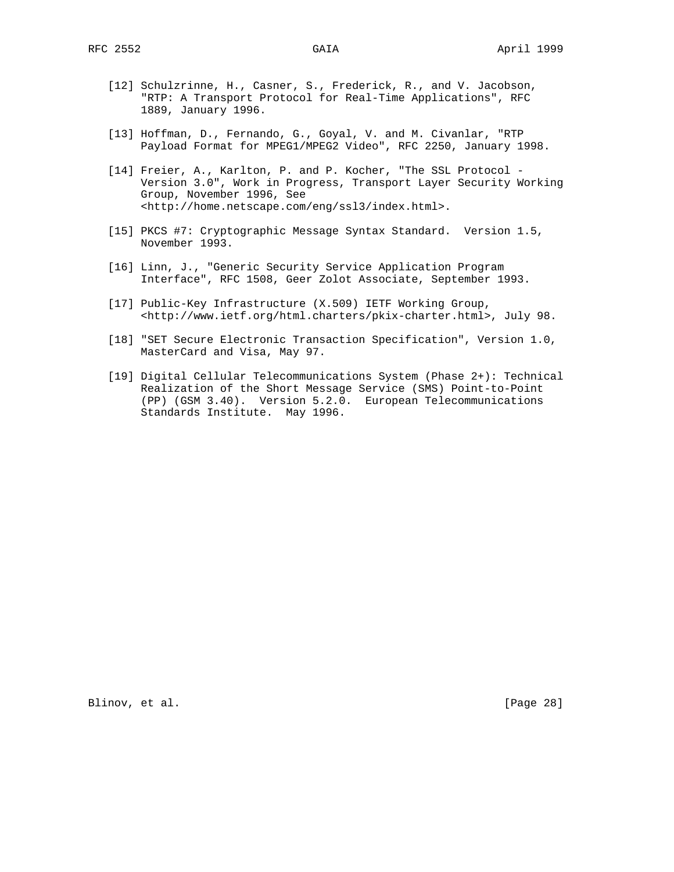- [12] Schulzrinne, H., Casner, S., Frederick, R., and V. Jacobson, "RTP: A Transport Protocol for Real-Time Applications", RFC 1889, January 1996.
- [13] Hoffman, D., Fernando, G., Goyal, V. and M. Civanlar, "RTP Payload Format for MPEG1/MPEG2 Video", RFC 2250, January 1998.
- [14] Freier, A., Karlton, P. and P. Kocher, "The SSL Protocol Version 3.0", Work in Progress, Transport Layer Security Working Group, November 1996, See <http://home.netscape.com/eng/ssl3/index.html>.
- [15] PKCS #7: Cryptographic Message Syntax Standard. Version 1.5, November 1993.
- [16] Linn, J., "Generic Security Service Application Program Interface", RFC 1508, Geer Zolot Associate, September 1993.
- [17] Public-Key Infrastructure (X.509) IETF Working Group, <http://www.ietf.org/html.charters/pkix-charter.html>, July 98.
- [18] "SET Secure Electronic Transaction Specification", Version 1.0, MasterCard and Visa, May 97.
- [19] Digital Cellular Telecommunications System (Phase 2+): Technical Realization of the Short Message Service (SMS) Point-to-Point (PP) (GSM 3.40). Version 5.2.0. European Telecommunications Standards Institute. May 1996.

Blinov, et al. [Page 28]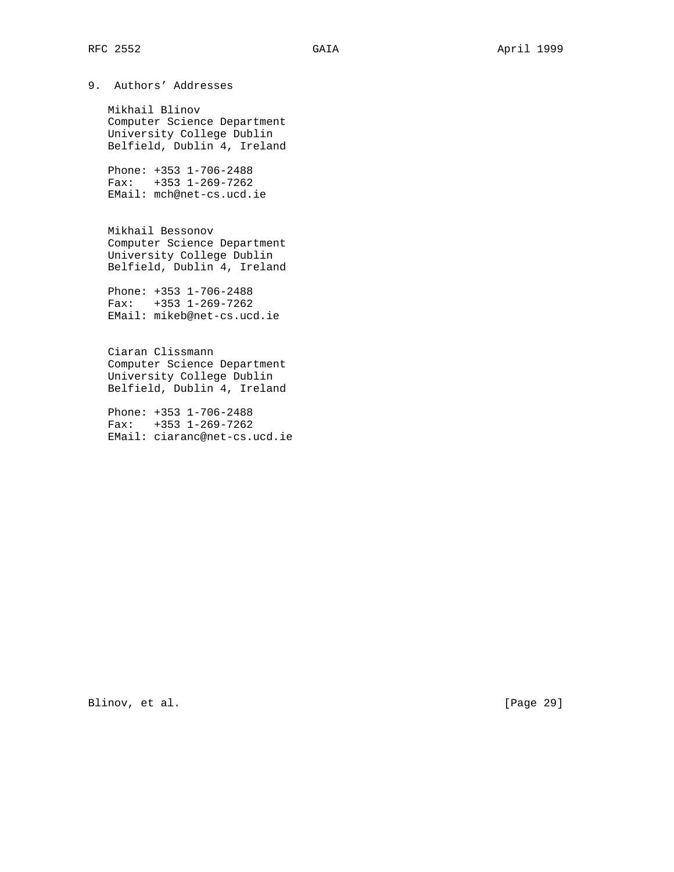9. Authors' Addresses

 Mikhail Blinov Computer Science Department University College Dublin Belfield, Dublin 4, Ireland

 Phone: +353 1-706-2488 Fax: +353 1-269-7262 EMail: mch@net-cs.ucd.ie

 Mikhail Bessonov Computer Science Department University College Dublin Belfield, Dublin 4, Ireland

 Phone: +353 1-706-2488 Fax: +353 1-269-7262 EMail: mikeb@net-cs.ucd.ie

 Ciaran Clissmann Computer Science Department University College Dublin Belfield, Dublin 4, Ireland

 Phone: +353 1-706-2488 Fax: +353 1-269-7262 EMail: ciaranc@net-cs.ucd.ie

Blinov, et al. [Page 29]